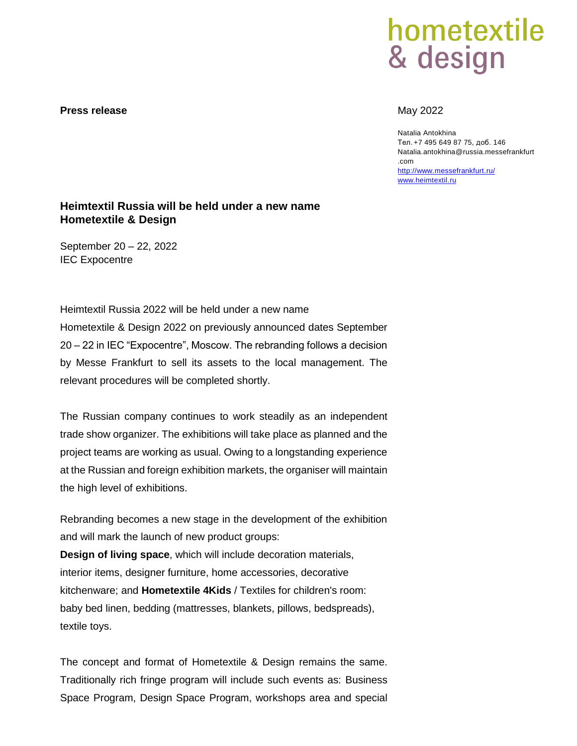### **Press release** May 2022

# hometextile & design

Natalia Antokhina Тел. +7 495 649 87 75, доб. 146 Natalia.antokhina@russia.messefrankfurt .com <http://www.messefrankfurt.ru/> [www.heimtextil.ru](http://www.heimtextil.ru/)

## **Heimtextil Russia will be held under a new name Hometextile & Design**

September 20 – 22, 2022 IEC Expocentre

Heimtextil Russia 2022 will be held under a new name Hometextile & Design 2022 on previously announced dates September 20 – 22 in IEC "Expocentre", Moscow. The rebranding follows a decision by Messe Frankfurt to sell its assets to the local management. The relevant procedures will be completed shortly.

The Russian company continues to work steadily as an independent trade show organizer. The exhibitions will take place as planned and the project teams are working as usual. Owing to a longstanding experience at the Russian and foreign exhibition markets, the organiser will maintain the high level of exhibitions.

Rebranding becomes a new stage in the development of the exhibition and will mark the launch of new product groups:

**Design of living space**, which will include decoration materials, interior items, designer furniture, home accessories, decorative kitchenware; and **Hometextile 4Kids** / Textiles for children's room: baby bed linen, bedding (mattresses, blankets, pillows, bedspreads), textile toys.

The concept and format of Hometextile & Design remains the same. Traditionally rich fringe program will include such events as: Business Space Program, Design Space Program, workshops area and special